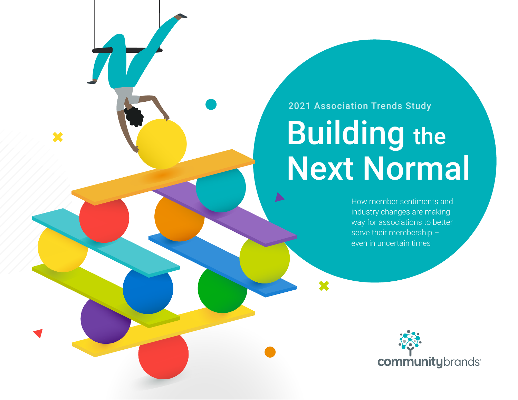2021 Association Trends Study

 $\blacktriangleright$ 

×

# Building the Next Normal

How member sentiments and industry changes are making way for associations to better serve their membership – even in uncertain times

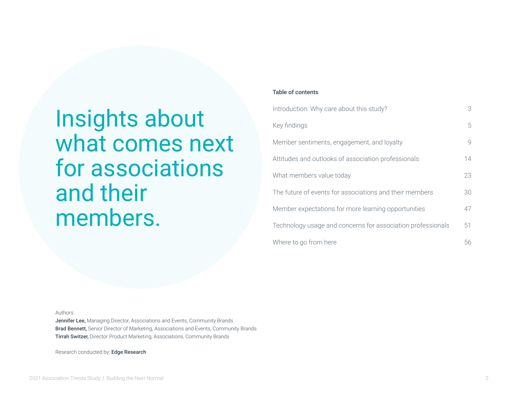Insights about what comes next for associations and their members.

#### Table of contents

| Introduction: Why care about this study?                    | 3             |
|-------------------------------------------------------------|---------------|
| Key findings                                                | 5             |
| Member sentiments, engagement, and loyalty                  | $\mathcal{Q}$ |
| Attitudes and outlooks of association professionals         | 14            |
| What members value today                                    | 23            |
| The future of events for associations and their members     | 30            |
| Member expectations for more learning opportunities         | 47            |
| Technology usage and concerns for association professionals | 51            |
| Where to go from here                                       | 56            |

Authors:

Jennifer Lee, Managing Director, Associations and Events, Community Brands Brad Bennett, Senior Director of Marketing, Associations and Events, Community Brands Tirrah Switzer, Director Product Marketing, Associations, Community Brands

Research conducted by: Edge Research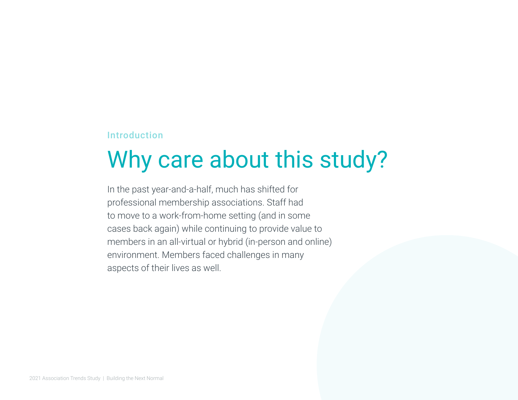#### Introduction

## Why care about this study?

In the past year-and-a-half, much has shifted for professional membership associations. Staff had to move to a work-from-home setting (and in some cases back again) while continuing to provide value to members in an all-virtual or hybrid (in-person and online) environment. Members faced challenges in many aspects of their lives as well.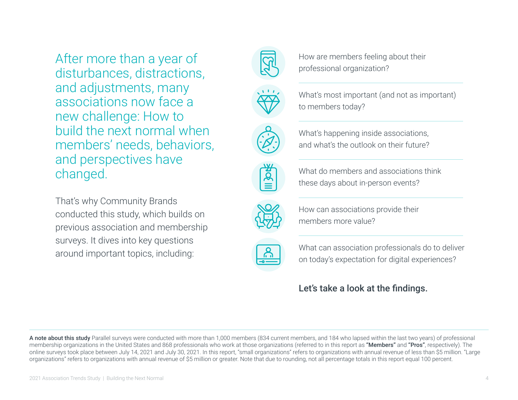After more than a year of disturbances, distractions, and adjustments, many associations now face a new challenge: How to build the next normal when members' needs, behaviors, and perspectives have changed.

That's why Community Brands conducted this study, which builds on previous association and membership surveys. It dives into key questions around important topics, including:

How are members feeling about their professional organization?



What's most important (and not as important) to members today?



What's happening inside associations, and what's the outlook on their future?



What do members and associations think these days about in-person events?



How can associations provide their members more value?



What can association professionals do to deliver on today's expectation for digital experiences?

### Let's take a look at the findings.

A note about this study Parallel surveys were conducted with more than 1,000 members (834 current members, and 184 who lapsed within the last two years) of professional membership organizations in the United States and 868 professionals who work at those organizations (referred to in this report as "Members" and "Pros", respectively). The online surveys took place between July 14, 2021 and July 30, 2021. In this report, "small organizations" refers to organizations with annual revenue of less than \$5 million. "Large organizations" refers to organizations with annual revenue of \$5 million or greater. Note that due to rounding, not all percentage totals in this report equal 100 percent.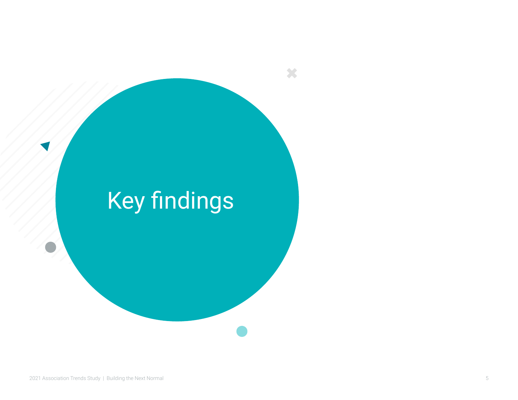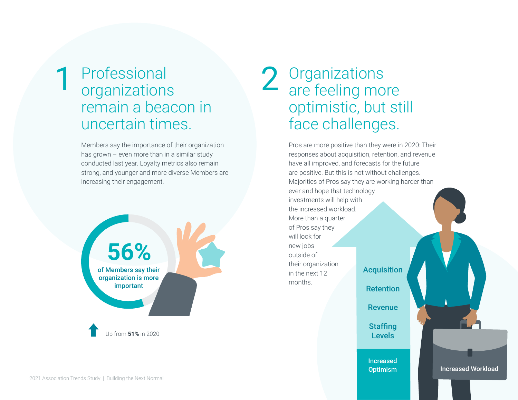### Professional organizations remain a beacon in uncertain times. 1 Professional 2 Organizations<br>organizations 2 are feeling more

Members say the importance of their organization has grown – even more than in a similar study conducted last year. Loyalty metrics also remain strong, and younger and more diverse Members are increasing their engagement.



# optimistic, but still face challenges.

Pros are more positive than they were in 2020: Their responses about acquisition, retention, and revenue have all improved, and forecasts for the future are positive. But this is not without challenges. Majorities of Pros say they are working harder than ever and hope that technology investments will help with the increased workload. More than a quarter of Pros say they will look for new jobs outside of their organization in the next 12 months. **Acquisition Retention** 

Revenue

**Staffing** Levels

Increased **Optimism** 

Increased Workload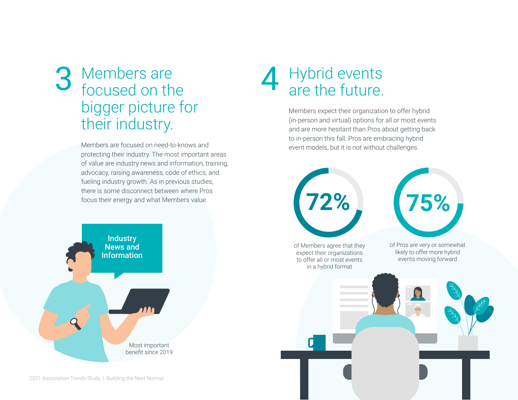## Members are 3 Members are **4** Hybrid events<br>focused on the **4** are the future. bigger picture for their industry.

Members are focused on need-to-knows and protecting their industry. The most important areas of value are industry news and information, training, advocacy, raising awareness, code of ethics, and fueling industry growth. As in previous studies, there is some disconnect between where Pros focus their energy and what Members value.



# 4 Hybrid events<br>are the future.

Members expect their organization to offer hybrid (in-person and virtual) options for all or most events and are more hesitant than Pros about getting back to in-person this fall. Pros are embracing hybrid event models, but it is not without challenges.

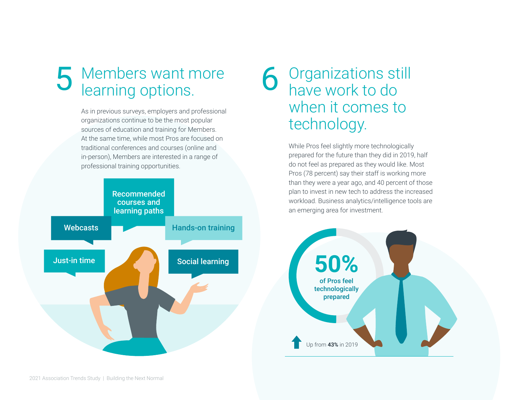## 5 Members want more<br>
6 Organizations still<br>
1 Nearning options.<br>
6 Nearning options. learning options.

As in previous surveys, employers and professional organizations continue to be the most popular sources of education and training for Members. At the same time, while most Pros are focused on traditional conferences and courses (online and in-person), Members are interested in a range of professional training opportunities.



## 6 Organizations st<br>have work to do when it comes to technology.

While Pros feel slightly more technologically prepared for the future than they did in 2019, half do not feel as prepared as they would like. Most Pros (78 percent) say their staff is working more than they were a year ago, and 40 percent of those plan to invest in new tech to address the increased workload. Business analytics/intelligence tools are an emerging area for investment.

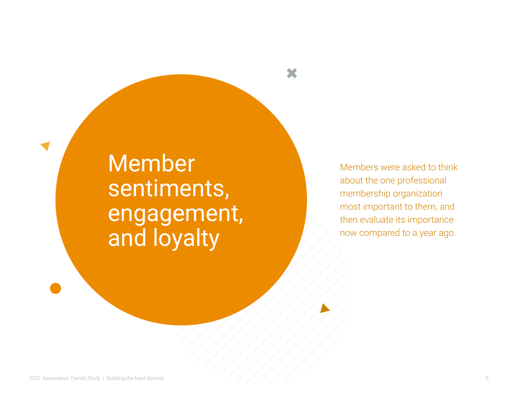Member sentiments, engagement, and loyalty

Members were asked to think about the one professional membership organization most important to them, and then evaluate its importance now compared to a year ago.

X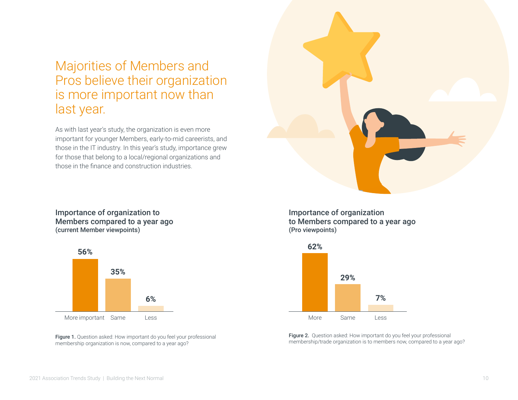### Majorities of Members and Pros believe their organization is more important now than last year.

As with last year's study, the organization is even more important for younger Members, early-to-mid careerists, and those in the IT industry. In this year's study, importance grew for those that belong to a local/regional organizations and those in the finance and construction industries.

#### Importance of organization to Members compared to a year ago (current Member viewpoints)



Figure 1. Question asked: How important do you feel your professional membership organization is now, compared to a year ago?





Figure 2. Question asked: How important do you feel your professional membership/trade organization is to members now, compared to a year ago?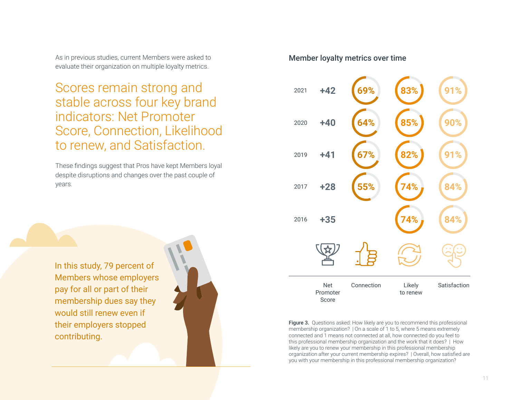As in previous studies, current Members were asked to evaluate their organization on multiple loyalty metrics.

Scores remain strong and stable across four key brand indicators: Net Promoter Score, Connection, Likelihood to renew, and Satisfaction.

These findings suggest that Pros have kept Members loyal despite disruptions and changes over the past couple of years.



#### Member loyalty metrics over time



Figure 3. Questions asked: How likely are you to recommend this professional membership organization? | On a scale of 1 to 5, where 5 means extremely connected and 1 means not connected at all, how connected do you feel to this professional membership organization and the work that it does? | How likely are you to renew your membership in this professional membership organization after your current membership expires? | Overall, how satisfied are you with your membership in this professional membership organization?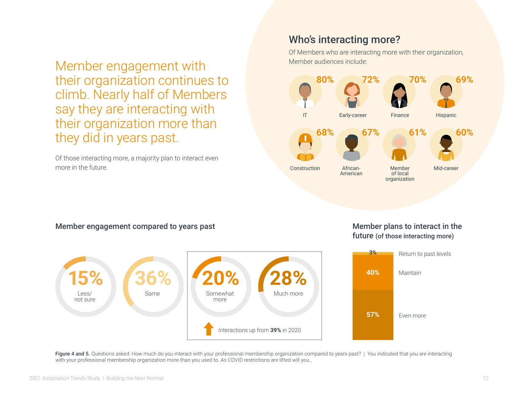Member engagement with their organization continues to climb. Nearly half of Members say they are interacting with their organization more than they did in years past.

Of those interacting more, a majority plan to interact even more in the future.

#### Who's interacting more?

Of Members who are interacting more with their organization, Member audiences include:



#### Member engagement compared to years past



#### Member plans to interact in the future (of those interacting more)



Figure 4 and 5. Questions asked: How much do you interact with your professional membership organization compared to years past? | You indicated that you are interacting with your professional membership organization more than you used to. As COVID restrictions are lifted will you…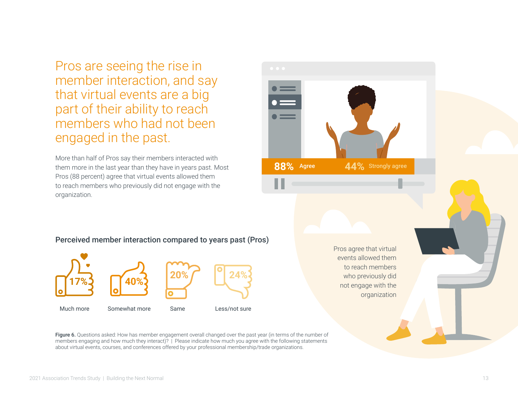Pros are seeing the rise in member interaction, and say that virtual events are a big part of their ability to reach members who had not been engaged in the past.

More than half of Pros say their members interacted with them more in the last year than they have in years past. Most Pros (88 percent) agree that virtual events allowed them to reach members who previously did not engage with the organization.



Perceived member interaction compared to years past (Pros)



organization

Figure 6. Questions asked: How has member engagement overall changed over the past year (in terms of the number of members engaging and how much they interact)? | Please indicate how much you agree with the following statements about virtual events, courses, and conferences offered by your professional membership/trade organizations.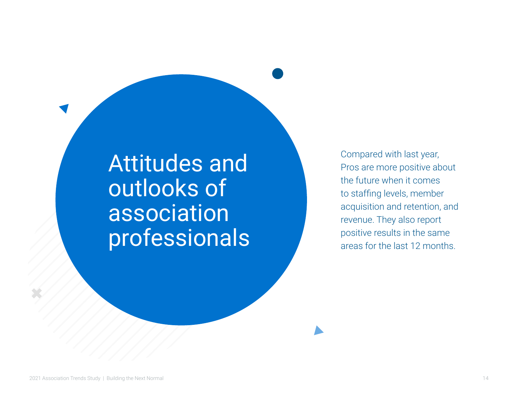## Attitudes and outlooks of association professionals

Compared with last year, Pros are more positive about the future when it comes to staffing levels, member acquisition and retention, and revenue. They also report positive results in the same areas for the last 12 months.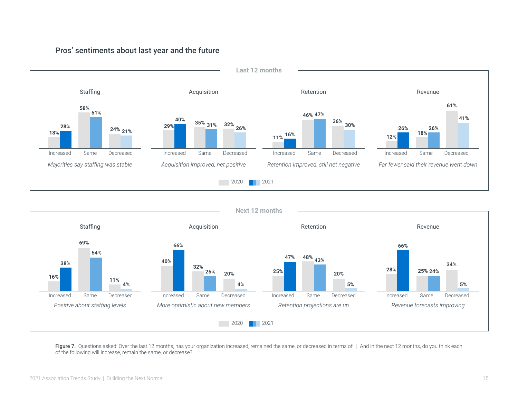

#### Pros' sentiments about last year and the future



Figure 7. Questions asked: Over the last 12 months, has your organization increased, remained the same, or decreased in terms of: | And in the next 12 months, do you think each of the following will increase, remain the same, or decrease?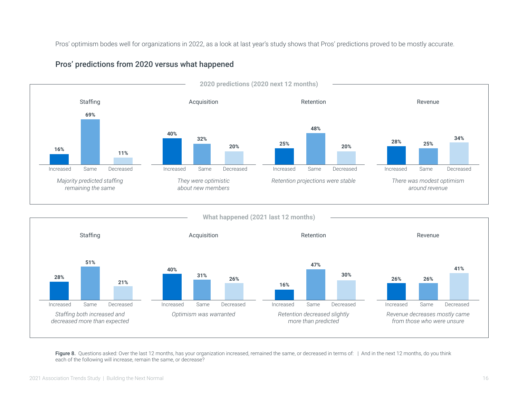Pros' optimism bodes well for organizations in 2022, as a look at last year's study shows that Pros' predictions proved to be mostly accurate.



#### Pros' predictions from 2020 versus what happened



Figure 8. Questions asked: Over the last 12 months, has your organization increased, remained the same, or decreased in terms of: | And in the next 12 months, do you think each of the following will increase, remain the same, or decrease?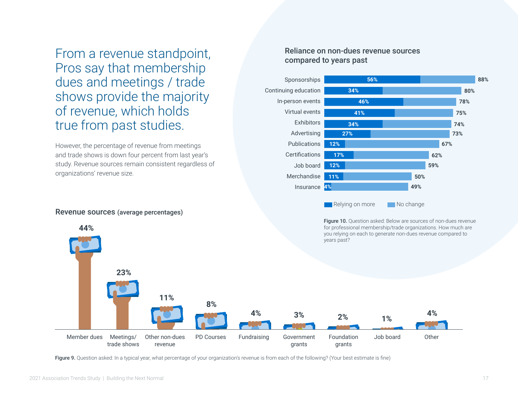From a revenue standpoint, Pros say that membership dues and meetings / trade shows provide the majority of revenue, which holds true from past studies.

However, the percentage of revenue from meetings and trade shows is down four percent from last year's study. Revenue sources remain consistent regardless of organizations' revenue size.

#### Revenue sources (average percentages)

 **44%**

#### Reliance on non-dues revenue sources compared to years past



Figure 10. Question asked: Below are sources of non-dues revenue for professional membership/trade organizations. How much are you relying on each to generate non-dues revenue compared to years past?



Figure 9. Question asked: In a typical year, what percentage of your organization's revenue is from each of the following? (Your best estimate is fine)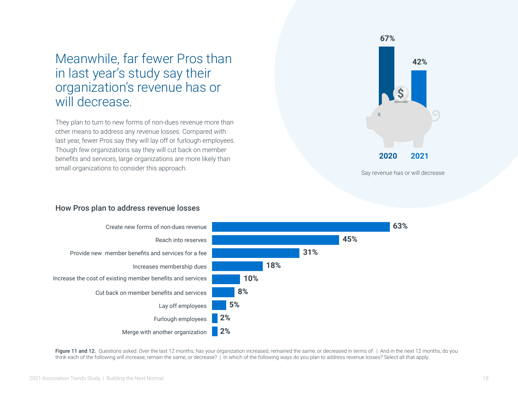### Meanwhile, far fewer Pros than in last year's study say their organization's revenue has or will decrease.

They plan to turn to new forms of non-dues revenue more than other means to address any revenue losses. Compared with last year, fewer Pros say they will lay off or furlough employees. Though few organizations say they will cut back on member benefits and services, large organizations are more likely than small organizations to consider this approach.



#### How Pros plan to address revenue losses

![](_page_17_Figure_4.jpeg)

Figure 11 and 12. Questions asked: Over the last 12 months, has your organization increased, remained the same, or decreased in terms of: | And in the next 12 months, do you think each of the following will increase, remain the same, or decrease? | In which of the following ways do you plan to address revenue losses? Select all that apply.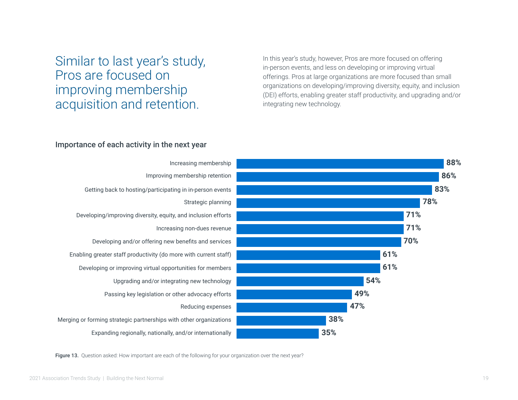### Similar to last year's study, Pros are focused on improving membership acquisition and retention.

In this year's study, however, Pros are more focused on offering in-person events, and less on developing or improving virtual offerings. Pros at large organizations are more focused than small organizations on developing/improving diversity, equity, and inclusion (DEI) efforts, enabling greater staff productivity, and upgrading and/or integrating new technology.

#### Importance of each activity in the next year

![](_page_18_Figure_3.jpeg)

![](_page_18_Figure_4.jpeg)

Figure 13. Question asked: How important are each of the following for your organization over the next year?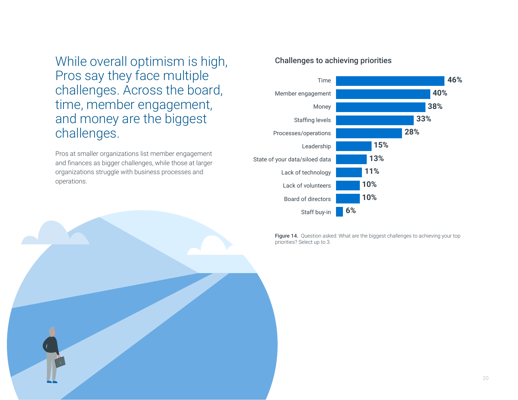While overall optimism is high, Pros say they face multiple challenges. Across the board, time, member engagement, and money are the biggest challenges.

Pros at smaller organizations list member engagement and finances as bigger challenges, while those at larger organizations struggle with business processes and operations.

![](_page_19_Picture_2.jpeg)

![](_page_19_Figure_3.jpeg)

Figure 14. Question asked: What are the biggest challenges to achieving your top priorities? Select up to 3.

![](_page_19_Picture_5.jpeg)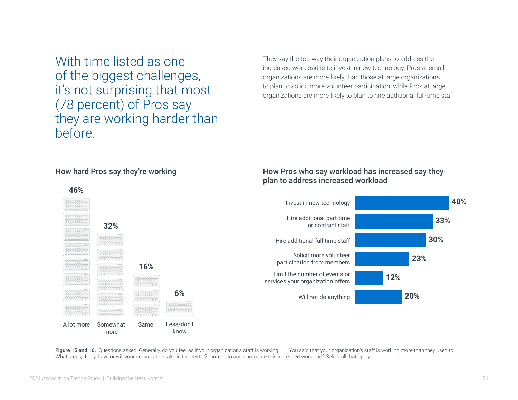With time listed as one of the biggest challenges, it's not surprising that most (78 percent) of Pros say they are working harder than before.

They say the top way their organization plans to address the increased workload is to invest in new technology. Pros at small organizations are more likely than those at large organizations to plan to solicit more volunteer participation, while Pros at large organizations are more likely to plan to hire additional full-time staff.

#### How hard Pros say they're working

#### How Pros who say workload has increased say they plan to address increased workload

![](_page_20_Figure_4.jpeg)

Figure 15 and 16. Questions asked: Generally, do you feel as if your organization's staff is working ... | You said that your organization's staff is working more than they used to. What steps, if any, have or will your organization take in the next 12 months to accommodate this increased workload? Select all that apply.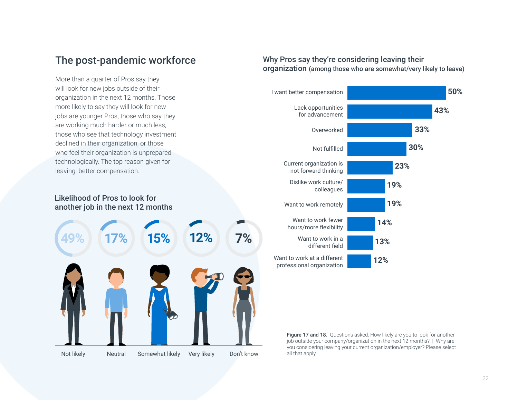More than a quarter of Pros say they will look for new jobs outside of their organization in the next 12 months. Those more likely to say they will look for new jobs are younger Pros, those who say they are working much harder or much less, those who see that technology investment declined in their organization, or those who feel their organization is unprepared technologically. The top reason given for leaving: better compensation.

#### Likelihood of Pros to look for another job in the next 12 months

![](_page_21_Picture_3.jpeg)

#### The post-pandemic workforce Why Pros say they're considering leaving their organization (among those who are somewhat/very likely to leave)

![](_page_21_Figure_5.jpeg)

Figure 17 and 18. Questions asked: How likely are you to look for another job outside your company/organization in the next 12 months? | Why are you considering leaving your current organization/employer? Please select all that apply.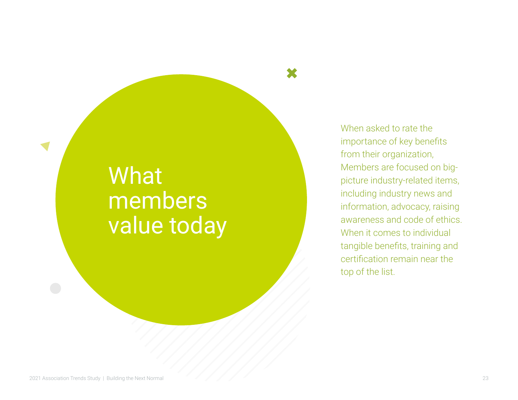## What members value today

When asked to rate the importance of key benefits from their organization, Members are focused on bigpicture industry-related items, including industry news and information, advocacy, raising awareness and code of ethics. When it comes to individual tangible benefits, training and certification remain near the top of the list.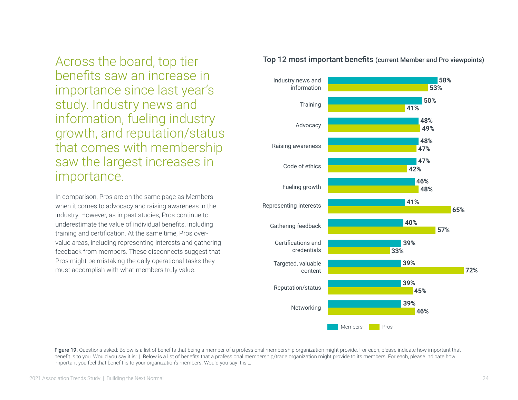Across the board, top tier benefits saw an increase in importance since last year's study. Industry news and information, fueling industry growth, and reputation/status that comes with membership saw the largest increases in importance.

In comparison, Pros are on the same page as Members when it comes to advocacy and raising awareness in the industry. However, as in past studies, Pros continue to underestimate the value of individual benefits, including training and certification. At the same time, Pros overvalue areas, including representing interests and gathering feedback from members. These disconnects suggest that Pros might be mistaking the daily operational tasks they must accomplish with what members truly value.

![](_page_23_Figure_2.jpeg)

#### Top 12 most important benefits (current Member and Pro viewpoints)

Figure 19. Questions asked: Below is a list of benefits that being a member of a professional membership organization might provide. For each, please indicate how important that benefit is to you. Would you say it is: | Below is a list of benefits that a professional membership/trade organization might provide to its members. For each, please indicate how important you feel that benefit is to your organization's members. Would you say it is …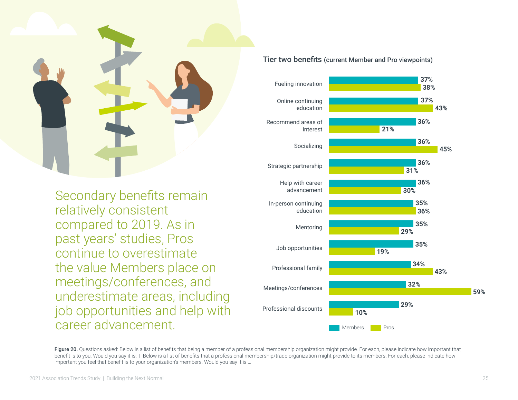![](_page_24_Picture_0.jpeg)

Secondary benefits remain relatively consistent compared to 2019. As in past years' studies, Pros continue to overestimate the value Members place on meetings/conferences, and underestimate areas, including job opportunities and help with career advancement.

#### **36% 35% 36% 32% 31% 21% 36% 45% 29% 59%** Strategic partnership Recommend areas of interest In-person continuing education Professional family Help with career advancement Job opportunities Socializing Mentoring Meetings/conferences **29%** Professional discounts **10% 19% 34% 36% 36% 30% 35% 35% 43%** Members **Pros**

Figure 20. Questions asked: Below is a list of benefits that being a member of a professional membership organization might provide. For each, please indicate how important that benefit is to you. Would you say it is: | Below is a list of benefits that a professional membership/trade organization might provide to its members. For each, please indicate how important you feel that benefit is to your organization's members. Would you say it is …

#### Tier two benefits (current Member and Pro viewpoints)

Fueling innovation

Online continuing education **37%**

**38%**

**37%**

**43%**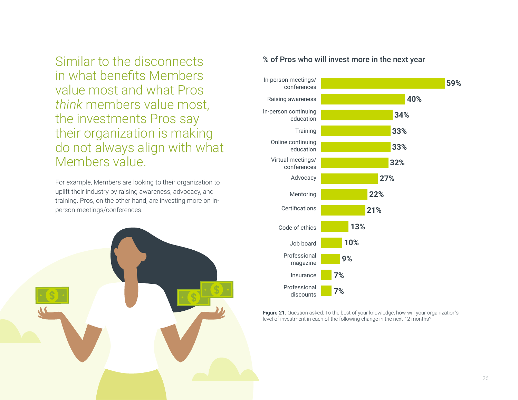Similar to the disconnects in what benefits Members value most and what Pros *think* members value most, the investments Pros say their organization is making do not always align with what Members value.

For example, Members are looking to their organization to uplift their industry by raising awareness, advocacy, and training. Pros, on the other hand, are investing more on inperson meetings/conferences.

![](_page_25_Picture_2.jpeg)

#### % of Pros who will invest more in the next year

![](_page_25_Figure_4.jpeg)

Figure 21. Question asked: To the best of your knowledge, how will your organization's level of investment in each of the following change in the next 12 months?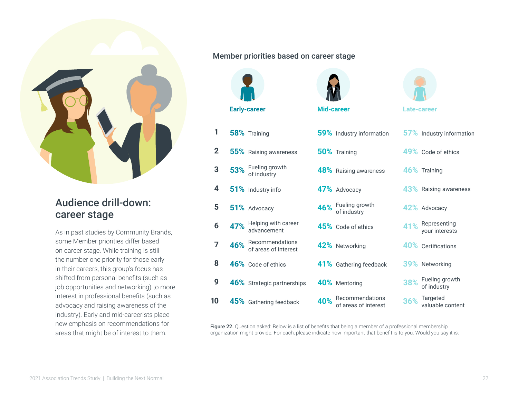![](_page_26_Picture_0.jpeg)

#### Audience drill-down: career stage

As in past studies by Community Brands, some Member priorities differ based on career stage. While training is still the number one priority for those early in their careers, this group's focus has shifted from personal benefits (such as job opportunities and networking) to more interest in professional benefits (such as advocacy and raising awareness of the industry). Early and mid-careerists place new emphasis on recommendations for areas that might be of interest to them.

#### Member priorities based on career stage

![](_page_26_Figure_4.jpeg)

**2**

**3**

**4**

**5**

**1**

**8**

**7**

**6**

**9**

**10**

![](_page_26_Picture_5.jpeg)

| 58% Training                                | 59% Industry information                    | 57% Industry information           |
|---------------------------------------------|---------------------------------------------|------------------------------------|
| 55% Raising awareness                       | 50% Training                                | 49% Code of ethics                 |
| 53% Fueling growth<br>of industry           | <b>48%</b> Raising awareness                | 46% Training                       |
| 51% Industry info                           | 47% Advocacy                                | 43% Raising awareness              |
| 51% Advocacy                                | 46% Fueling growth<br>of industry           | 42% Advocacy                       |
| 47% Helping with career<br>advancement      | 45% Code of ethics                          | 41% Representing<br>your interests |
| 46% Recommendations<br>of areas of interest | 42% Networking                              | 40% Certifications                 |
| 46% Code of ethics                          | 41% Gathering feedback                      | 39% Networking                     |
| 46% Strategic partnerships                  | 40% Mentoring                               | 38% Fueling growth<br>of industry  |
| 45% Gathering feedback                      | 40% Recommendations<br>of areas of interest | 36% Targeted<br>valuable content   |

Figure 22. Question asked: Below is a list of benefits that being a member of a professional membership organization might provide. For each, please indicate how important that benefit is to you. Would you say it is: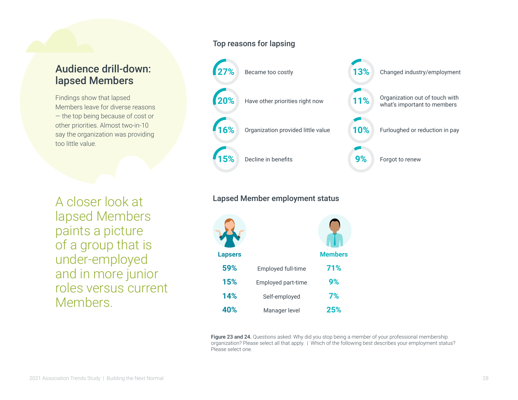#### Audience drill-down: lapsed Members

Findings show that lapsed Members leave for diverse reasons — the top being because of cost or other priorities. Almost two-in-10 say the organization was providing too little value.

A closer look at lapsed Members paints a picture of a group that is under-employed and in more junior roles versus current **Members** 

#### Top reasons for lapsing

![](_page_27_Figure_4.jpeg)

#### Lapsed Member employment status

![](_page_27_Figure_6.jpeg)

Figure 23 and 24. Questions asked: Why did you stop being a member of your professional membership organization? Please select all that apply. | Which of the following best describes your employment status? Please select one.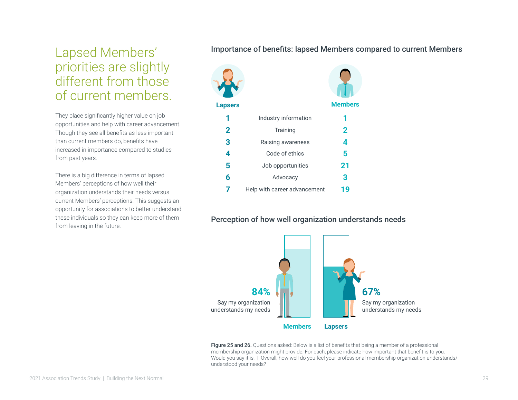## Lapsed Members' priorities are slightly different from those of current members.

They place significantly higher value on job opportunities and help with career advancement. Though they see all benefits as less important than current members do, benefits have increased in importance compared to studies from past years.

There is a big difference in terms of lapsed Members' perceptions of how well their organization understands their needs versus current Members' perceptions. This suggests an opportunity for associations to better understand these individuals so they can keep more of them from leaving in the future.

#### Importance of benefits: lapsed Members compared to current Members

![](_page_28_Picture_4.jpeg)

#### Perception of how well organization understands needs

![](_page_28_Figure_6.jpeg)

Figure 25 and 26. Questions asked: Below is a list of benefits that being a member of a professional membership organization might provide. For each, please indicate how important that benefit is to you. Would you say it is: | Overall, how well do you feel your professional membership organization understands/ understood your needs?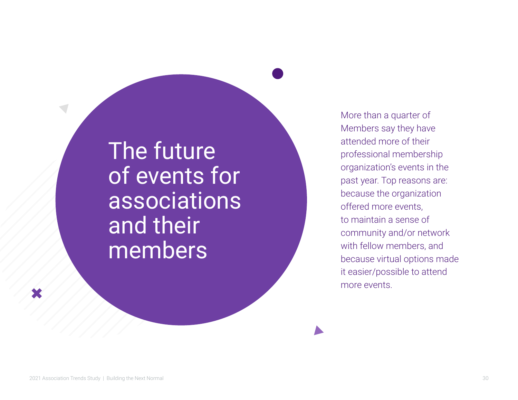## The future of events for associations and their members

More than a quarter of Members say they have attended more of their professional membership organization's events in the past year. Top reasons are: because the organization offered more events, to maintain a sense of community and/or network with fellow members, and because virtual options made it easier/possible to attend more events.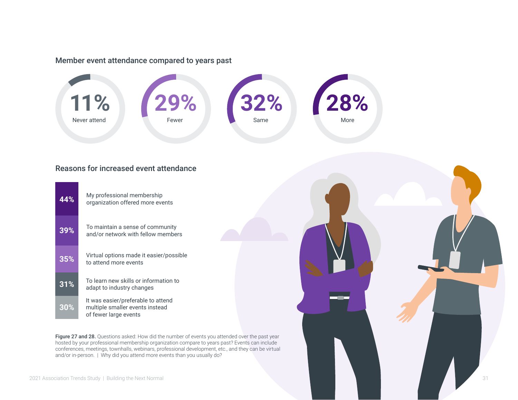#### Member event attendance compared to years past

![](_page_30_Figure_1.jpeg)

#### Reasons for increased event attendance

| 44%    | My professional membership<br>organization offered more events                                 |
|--------|------------------------------------------------------------------------------------------------|
| 39%    | To maintain a sense of community<br>and/or network with fellow members                         |
| 35%    | Virtual options made it easier/possible<br>to attend more events                               |
| 31%    | To learn new skills or information to<br>adapt to industry changes                             |
| $30\%$ | It was easier/preferable to attend<br>multiple smaller events instead<br>of fewer large events |

Figure 27 and 28. Questions asked: How did the number of events you attended over the past year hosted by your professional membership organization compare to years past? Events can include conferences, meetings, townhalls, webinars, professional development, etc., and they can be virtual and/or in-person. | Why did you attend more events than you usually do?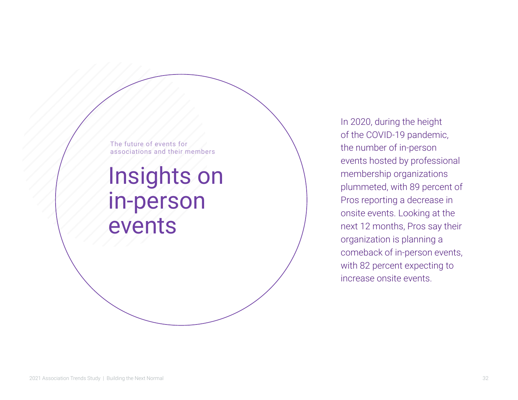The future of events for associations and their members

## Insights on in-person events

In 2020, during the height of the COVID-19 pandemic, the number of in-person events hosted by professional membership organizations plummeted, with 89 percent of Pros reporting a decrease in onsite events. Looking at the next 12 months, Pros say their organization is planning a comeback of in-person events, with 82 percent expecting to increase onsite events.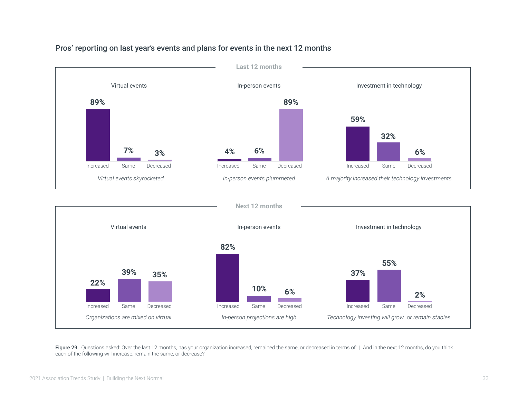![](_page_32_Figure_0.jpeg)

#### Pros' reporting on last year's events and plans for events in the next 12 months

![](_page_32_Figure_2.jpeg)

Figure 29. Questions asked: Over the last 12 months, has your organization increased, remained the same, or decreased in terms of: | And in the next 12 months, do you think each of the following will increase, remain the same, or decrease?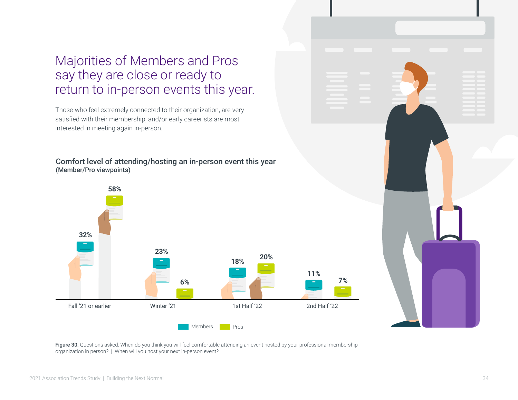## Majorities of Members and Pros say they are close or ready to return to in-person events this year.

Those who feel extremely connected to their organization, are very satisfied with their membership, and/or early careerists are most interested in meeting again in-person.

#### Comfort level of attending/hosting an in-person event this year (Member/Pro viewpoints)

![](_page_33_Figure_3.jpeg)

![](_page_33_Figure_4.jpeg)

Figure 30. Questions asked: When do you think you will feel comfortable attending an event hosted by your professional membership organization in person? | When will you host your next in-person event?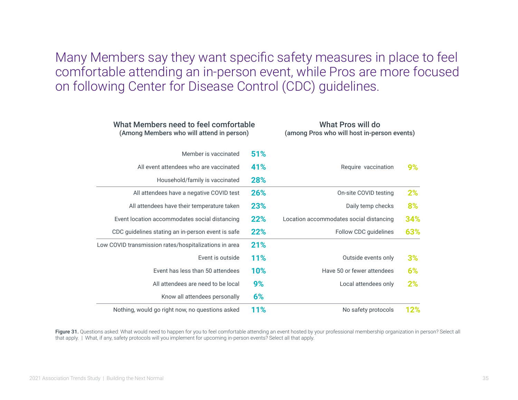Many Members say they want specific safety measures in place to feel comfortable attending an in-person event, while Pros are more focused on following Center for Disease Control (CDC) guidelines.

| What Members need to feel comfortable<br>(Among Members who will attend in person) |            | What Pros will do<br>(among Pros who will host in-person events) |     |  |
|------------------------------------------------------------------------------------|------------|------------------------------------------------------------------|-----|--|
| Member is vaccinated                                                               | 51%        |                                                                  |     |  |
| All event attendees who are vaccinated                                             | 41%        | Require vaccination                                              | 9%  |  |
| Household/family is vaccinated                                                     | 28%        |                                                                  |     |  |
| All attendees have a negative COVID test                                           | 26%        | On-site COVID testing                                            | 2%  |  |
| All attendees have their temperature taken                                         | 23%        | Daily temp checks                                                | 8%  |  |
| Event location accommodates social distancing                                      | 22%        | Location accommodates social distancing                          | 34% |  |
| CDC guidelines stating an in-person event is safe                                  | 22%        | Follow CDC guidelines                                            | 63% |  |
| Low COVID transmission rates/hospitalizations in area                              | 21%        |                                                                  |     |  |
| Event is outside                                                                   | <b>11%</b> | Outside events only                                              | 3%  |  |
| Event has less than 50 attendees                                                   | <b>10%</b> | Have 50 or fewer attendees                                       | 6%  |  |
| All attendees are need to be local                                                 | 9%         | Local attendees only                                             | 2%  |  |
| Know all attendees personally                                                      | 6%         |                                                                  |     |  |
| Nothing, would go right now, no questions asked                                    | 11%        | No safety protocols                                              | 12% |  |

Figure 31. Questions asked: What would need to happen for you to feel comfortable attending an event hosted by your professional membership organization in person? Select all that apply. | What, if any, safety protocols will you implement for upcoming in-person events? Select all that apply.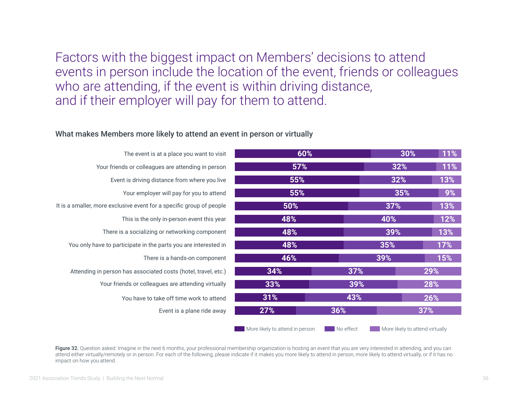Factors with the biggest impact on Members' decisions to attend events in person include the location of the event, friends or colleagues who are attending, if the event is within driving distance, and if their employer will pay for them to attend.

#### What makes Members more likely to attend an event in person or virtually

| The event is at a place you want to visit                            | 60%                             |           | 30%                             | 11% |
|----------------------------------------------------------------------|---------------------------------|-----------|---------------------------------|-----|
| Your friends or colleagues are attending in person                   | 57%                             |           | 32%                             | 11% |
| Event is driving distance from where you live                        | 55%                             |           | 32%                             |     |
| Your employer will pay for you to attend                             | 55%                             |           | 35%                             | 9%  |
| It is a smaller, more exclusive event for a specific group of people | 50%                             |           | 37%                             | 13% |
| This is the only in-person event this year                           | 48%                             |           | 40%                             | 12% |
| There is a socializing or networking component                       | 48%                             |           | 39%                             | 13% |
| You only have to participate in the parts you are interested in      | 48%                             |           | 35%                             | 17% |
| There is a hands-on component                                        | 46%                             |           | 39%                             | 15% |
| Attending in person has associated costs (hotel, travel, etc.)       | 34%                             | 37%       |                                 | 29% |
| Your friends or colleagues are attending virtually                   | 33%                             | 39%       |                                 | 28% |
| You have to take off time work to attend                             | 31%                             | 43%       |                                 | 26% |
| Event is a plane ride away                                           | 27%                             | 36%       |                                 | 37% |
|                                                                      | More likely to attend in person | No effect | More likely to attend virtually |     |

Figure 32. Question asked: Imagine in the next 6 months, your professional membership organization is hosting an event that you are very interested in attending, and you can attend either virtually/remotely or in person. For each of the following, please indicate if it makes you more likely to attend in person, more likely to attend virtually, or if it has no impact on how you attend.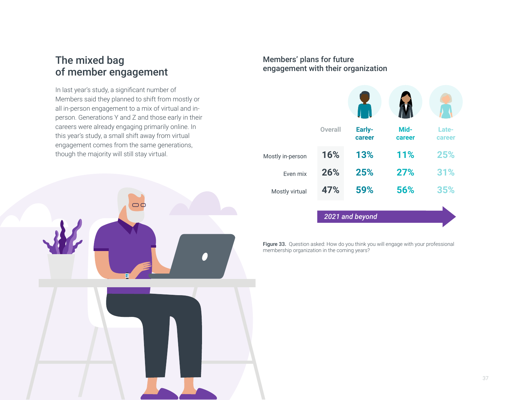### The mixed bag of member engagement

In last year's study, a significant number of Members said they planned to shift from mostly or all in-person engagement to a mix of virtual and inperson. Generations Y and Z and those early in their careers were already engaging primarily online. In this year's study, a small shift away from virtual engagement comes from the same generations, though the majority will still stay virtual.

![](_page_36_Picture_2.jpeg)

#### Members' plans for future engagement with their organization

|                  | <b>Overall</b> | Early-<br>career | Mid-<br>career | Late-<br>career |
|------------------|----------------|------------------|----------------|-----------------|
| Mostly in-person | 16%            | 13%              | 11%            | 25%             |
| Even mix         | 26%            | 25%              | 27%            | 31%             |
| Mostly virtual   | 47%            | 59%              | 56%            | 35%             |
|                  |                | 2021 and beyond  |                |                 |

Figure 33. Question asked: How do you think you will engage with your professional membership organization in the coming years?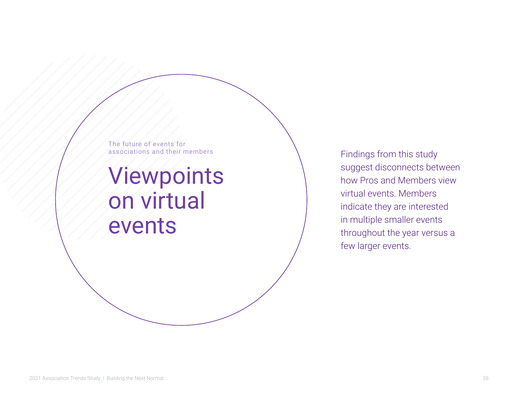The future of events for associations and their members

## Viewpoints on virtual events

Findings from this study suggest disconnects between how Pros and Members view virtual events. Members indicate they are interested in multiple smaller events throughout the year versus a few larger events.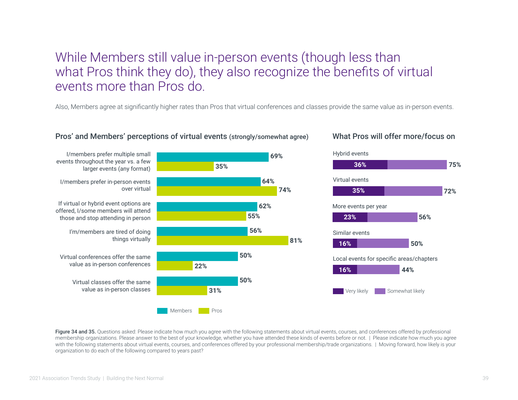### While Members still value in-person events (though less than what Pros think they do), they also recognize the benefits of virtual events more than Pros do.

Also, Members agree at significantly higher rates than Pros that virtual conferences and classes provide the same value as in-person events.

![](_page_38_Figure_2.jpeg)

#### Pros' and Members' perceptions of virtual events (strongly/somewhat agree) What Pros will offer more/focus on

Figure 34 and 35. Questions asked: Please indicate how much you agree with the following statements about virtual events, courses, and conferences offered by professional membership organizations. Please answer to the best of your knowledge, whether you have attended these kinds of events before or not. | Please indicate how much you agree with the following statements about virtual events, courses, and conferences offered by your professional membership/trade organizations. | Moving forward, how likely is your organization to do each of the following compared to years past?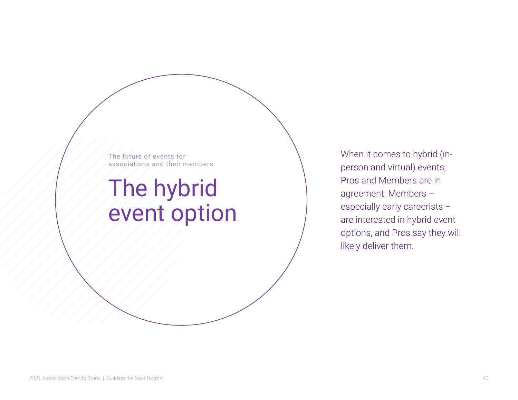The future of events for associations and their members

## The hybrid event option

When it comes to hybrid (inperson and virtual) events, Pros and Members are in agreement: Members – especially early careerists – are interested in hybrid event options, and Pros say they will likely deliver them.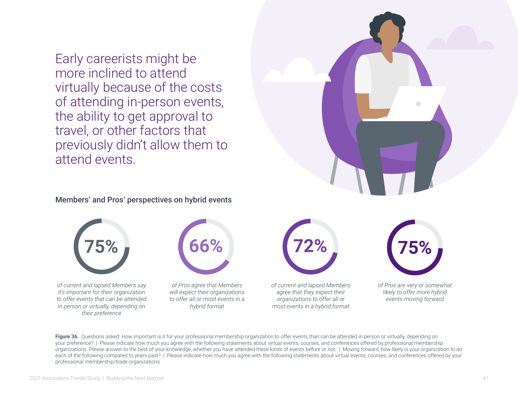Early careerists might be more inclined to attend virtually because of the costs of attending in-person events, the ability to get approval to travel, or other factors that previously didn't allow them to attend events.

![](_page_40_Picture_1.jpeg)

![](_page_40_Picture_2.jpeg)

Figure 36. Questions asked: How important is it for your professional membership organization to offer events than can be attended in person or virtually, depending on your preference? | Please indicate how much you agree with the following statements about virtual events, courses, and conferences offered by professional membership organizations. Please answer to the best of your knowledge, whether you have attended these kinds of events before or not. | Moving forward, how likely is your organization to do each of the following compared to years past? | Please indicate how much you agree with the following statements about virtual events, courses, and conferences offered by your professional membership/trade organizations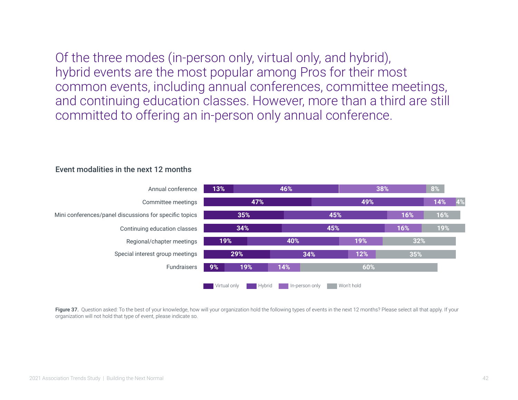Of the three modes (in-person only, virtual only, and hybrid), hybrid events are the most popular among Pros for their most common events, including annual conferences, committee meetings, and continuing education classes. However, more than a third are still committed to offering an in-person only annual conference.

![](_page_41_Figure_1.jpeg)

#### Event modalities in the next 12 months

Figure 37. Question asked: To the best of your knowledge, how will your organization hold the following types of events in the next 12 months? Please select all that apply. If your organization will not hold that type of event, please indicate so.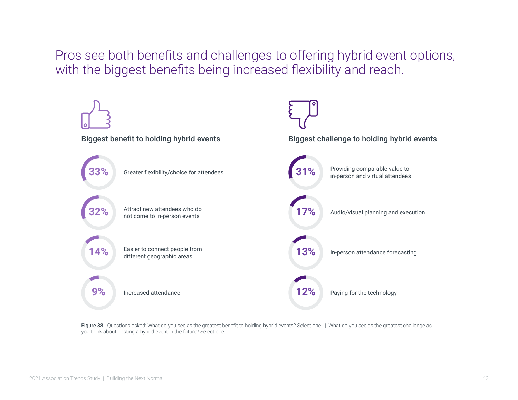Pros see both benefits and challenges to offering hybrid event options, with the biggest benefits being increased flexibility and reach.

![](_page_42_Figure_1.jpeg)

Figure 38. Questions asked: What do you see as the greatest benefit to holding hybrid events? Select one. | What do you see as the greatest challenge as you think about hosting a hybrid event in the future? Select one.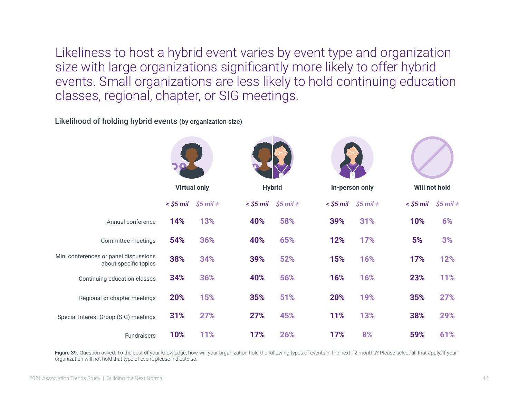Likeliness to host a hybrid event varies by event type and organization size with large organizations significantly more likely to offer hybrid events. Small organizations are less likely to hold continuing education classes, regional, chapter, or SIG meetings.

Likelihood of holding hybrid events (by organization size)

|                                                                | <b>Virtual only</b> |            |           | <b>Hybrid</b> |     | In-person only                |             | Will not hold |
|----------------------------------------------------------------|---------------------|------------|-----------|---------------|-----|-------------------------------|-------------|---------------|
|                                                                | < \$5 mil           | $$5$ mil + | < \$5 mil | $$5$ mil +    |     | $\le$ \$5 mil $\le$ \$5 mil + | $<$ \$5 mil | $$5$ mil +    |
| Annual conference                                              | 14%                 | 13%        | 40%       | 58%           | 39% | 31%                           | 10%         | 6%            |
| Committee meetings                                             | 54%                 | 36%        | 40%       | 65%           | 12% | 17%                           | 5%          | 3%            |
| Mini conferences or panel discussions<br>about specific topics | 38%                 | 34%        | 39%       | 52%           | 15% | 16%                           | 17%         | 12%           |
| Continuing education classes                                   | 34%                 | 36%        | 40%       | 56%           | 16% | 16%                           | 23%         | 11%           |
| Regional or chapter meetings                                   | 20%                 | 15%        | 35%       | 51%           | 20% | 19%                           | 35%         | 27%           |
| Special Interest Group (SIG) meetings                          | 31%                 | 27%        | 27%       | 45%           | 11% | 13%                           | 38%         | 29%           |
| Fundraisers                                                    | 10%                 | 11%        | 17%       | 26%           | 17% | 8%                            | 59%         | 61%           |

Figure 39. Question asked: To the best of your knowledge, how will your organization hold the following types of events in the next 12 months? Please select all that apply. If your organization will not hold that type of event, please indicate so.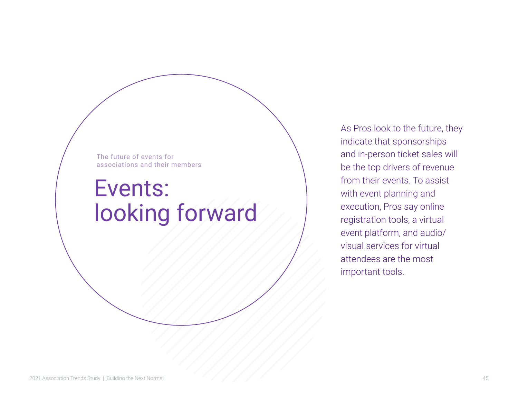The future of events for associations and their members

## Events: looking forward

As Pros look to the future, they indicate that sponsorships and in-person ticket sales will be the top drivers of revenue from their events. To assist with event planning and execution, Pros say online registration tools, a virtual event platform, and audio/ visual services for virtual attendees are the most important tools.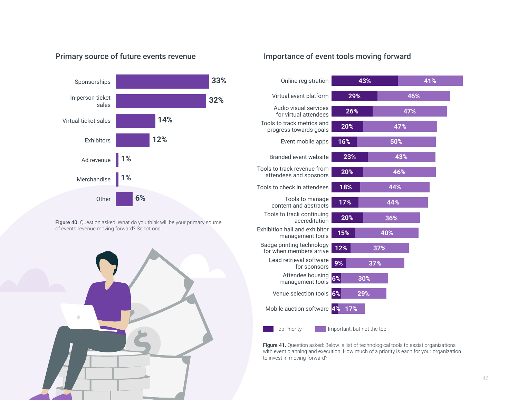#### Primary source of future events revenue

![](_page_45_Figure_1.jpeg)

Figure 40. Question asked: What do you think will be your primary source of events revenue moving forward? Select one.

![](_page_45_Picture_3.jpeg)

#### Importance of event tools moving forward

| Online registration                                   | 43%                        |     | 41% |
|-------------------------------------------------------|----------------------------|-----|-----|
| Virtual event platform                                | 29%                        |     | 46% |
| Audio visual services<br>for virtual attendees        | 26%                        |     | 47% |
| Tools to track metrics and<br>progress towards goals  | 20%                        |     | 47% |
| Event mobile apps                                     | 16%                        | 50% |     |
| Branded event website                                 | 23%                        |     | 43% |
| Tools to track revenue from<br>attendees and sposnors | 20%                        |     | 46% |
| Tools to check in attendees                           | 18%                        | 44% |     |
| Tools to manage<br>content and abstracts              | 17%                        | 44% |     |
| Tools to track continuing<br>accreditation            | 20%                        | 36% |     |
| Exhibition hall and exhibitor<br>management tools     | 15%                        | 40% |     |
| Badge printing technology<br>for when members arrive  | 12%                        | 37% |     |
| Lead retrieval software<br>for sponsors               | 9%                         | 37% |     |
| Attendee housing<br>management tools                  | <b>6%</b><br>30%           |     |     |
| Venue selection tools                                 | 6%<br>29%                  |     |     |
| Mobile auction software 4%                            | 17%                        |     |     |
| <b>Top Priority</b>                                   | Important, but not the top |     |     |

Figure 41. Question asked: Below is list of technological tools to assist organizations with event planning and execution. How much of a priority is each for your organization to invest in moving forward?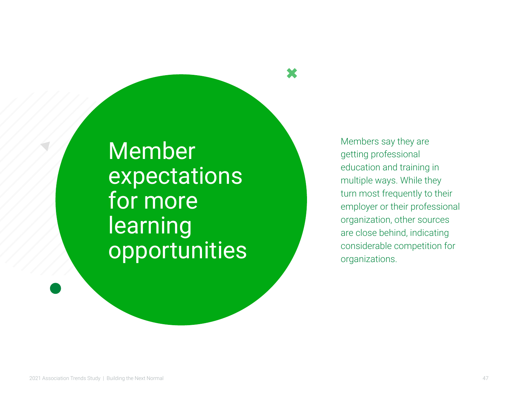Member expectations for more learning opportunities Members say they are getting professional education and training in multiple ways. While they turn most frequently to their employer or their professional organization, other sources are close behind, indicating considerable competition for organizations.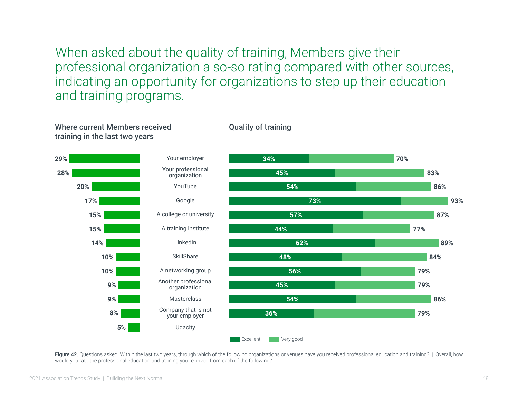When asked about the quality of training, Members give their professional organization a so-so rating compared with other sources, indicating an opportunity for organizations to step up their education and training programs.

Quality of training

![](_page_47_Figure_1.jpeg)

Figure 42. Questions asked: Within the last two years, through which of the following organizations or venues have you received professional education and training? | Overall, how would you rate the professional education and training you received from each of the following?

Where current Members received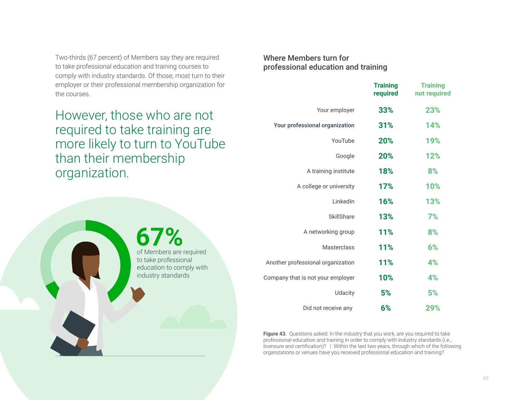Two-thirds (67 percent) of Members say they are required to take professional education and training courses to comply with industry standards. Of those, most turn to their employer or their professional membership organization for the courses.

However, those who are not required to take training are more likely to turn to YouTube than their membership organization.

**67%**

of Members are required to take professional education to comply with industry standards

#### Where Members turn for professional education and training

|                                   | <b>Training</b><br>required | <b>Training</b><br>not required |
|-----------------------------------|-----------------------------|---------------------------------|
| Your employer                     | 33%                         | 23%                             |
| Your professional organization    | 31%                         | 14%                             |
| YouTube                           | 20%                         | 19%                             |
| Google                            | 20%                         | 12%                             |
| A training institute              | 18%                         | 8%                              |
| A college or university           | 17%                         | 10%                             |
| LinkedIn                          | 16%                         | 13%                             |
| <b>SkillShare</b>                 | 13%                         | 7%                              |
| A networking group                | 11%                         | 8%                              |
| <b>Masterclass</b>                | 11%                         | 6%                              |
| Another professional organization | 11%                         | 4%                              |
| Company that is not your employer | 10%                         | 4%                              |
| <b>Udacity</b>                    | 5%                          | 5%                              |
| Did not receive any               | 6%                          | 29%                             |

Figure 43. Questions asked: In the industry that you work, are you required to take professional education and training in order to comply with industry standards (i.e., licensure and certification)? | Within the last two years, through which of the following organizations or venues have you received professional education and training?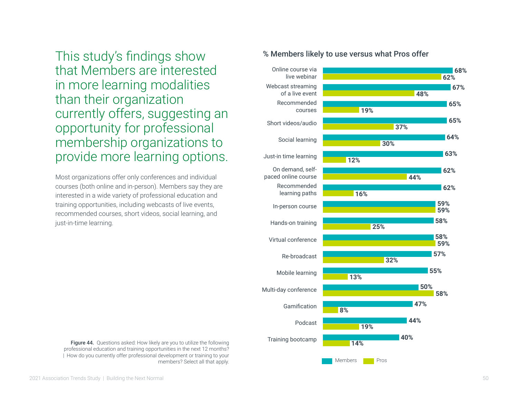This study's findings show that Members are interested in more learning modalities than their organization currently offers, suggesting an opportunity for professional membership organizations to provide more learning options.

Most organizations offer only conferences and individual courses (both online and in-person). Members say they are interested in a wide variety of professional education and training opportunities, including webcasts of live events, recommended courses, short videos, social learning, and just-in-time learning.

![](_page_49_Figure_2.jpeg)

#### % Members likely to use versus what Pros offer

professional education and training opportunities in the next 12 months? | How do you currently offer professional development or training to your members? Select all that apply.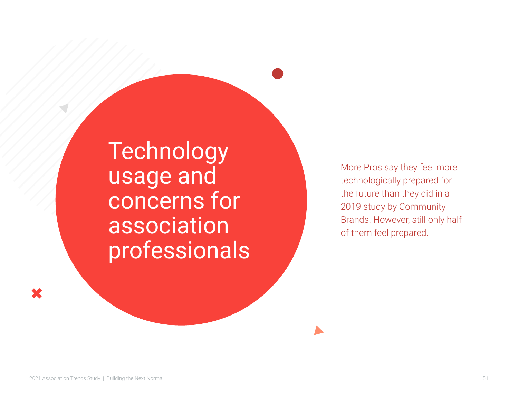Technology usage and concerns for association professionals

More Pros say they feel more technologically prepared for the future than they did in a 2019 study by Community Brands. However, still only half of them feel prepared.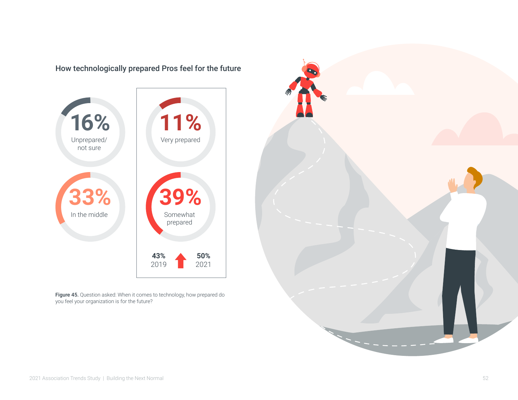![](_page_51_Figure_0.jpeg)

How technologically prepared Pros feel for the future

**Figure 45.** Question asked: When it comes to technology, how prepared do you feel your organization is for the future?

![](_page_51_Picture_3.jpeg)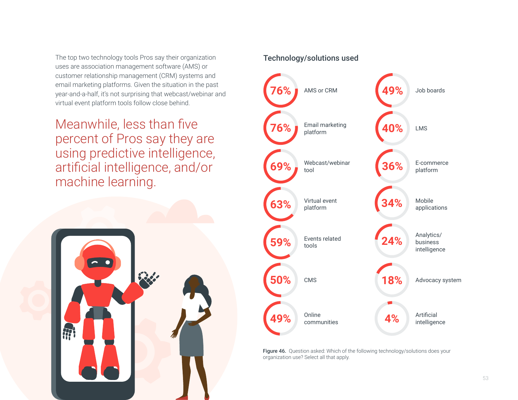The top two technology tools Pros say their organization uses are association management software (AMS) or customer relationship management (CRM) systems and email marketing platforms. Given the situation in the past year-and-a-half, it's not surprising that webcast/webinar and virtual event platform tools follow close behind.

Meanwhile, less than five percent of Pros say they are using predictive intelligence, artificial intelligence, and/or machine learning.

![](_page_52_Figure_2.jpeg)

#### Technology/solutions used

![](_page_52_Figure_4.jpeg)

Figure 46. Question asked: Which of the following technology/solutions does your organization use? Select all that apply.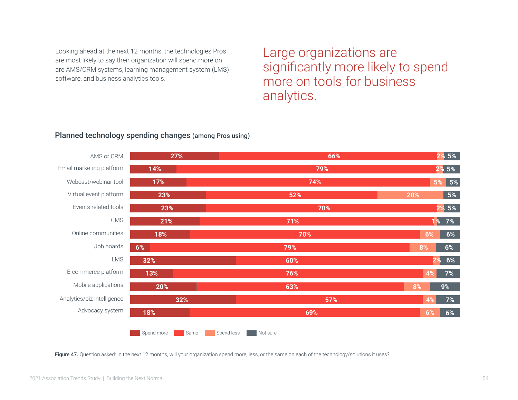Looking ahead at the next 12 months, the technologies Pros are most likely to say their organization will spend more on are AMS/CRM systems, learning management system (LMS) software, and business analytics tools.

Large organizations are significantly more likely to spend more on tools for business analytics.

#### **27% 66% 21% 17% 14% 18% 70% 23% 32% 60%** Spend more Same **6% 79% 71% 79% Not sure 74% 70% 2% 5% 1% 7% 5% 2% 5% 6% 2% 5% 2% 8% 23% 52% 20%** Spend less AMS or CRM Webcast/webinar tool Email marketing platform Virtual event platform CMS Events related tools Job boards E-commerce platform LMS Mobile applications Advocacy system Analytics/biz intelligence Online communities **13% 76% 4% 20% 63% 8% 32% 57% 4% 18% 69% 6% 6% 6% 6% 5% 5% 7% 9% 7% 6%**

#### Planned technology spending changes (among Pros using)

Figure 47. Question asked: In the next 12 months, will your organization spend more, less, or the same on each of the technology/solutions it uses?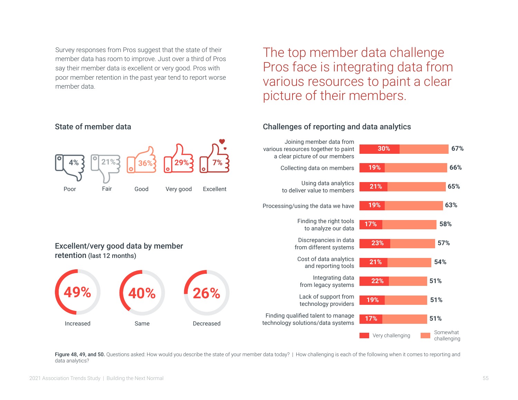Survey responses from Pros suggest that the state of their member data has room to improve. Just over a third of Pros say their member data is excellent or very good. Pros with poor member retention in the past year tend to report worse member data.

The top member data challenge Pros face is integrating data from various resources to paint a clear picture of their members.

#### Excellent/very good data by member retention (last 12 months) **4% 21% 36% 29% 7%** Poor Fair Good Very good Excellent **30% 67% 21% 65% 23% 57% 22% 51%** Somewhat Very challenging **Very challenging 17% 51% 19% 66% 19% 63% 17% 58% 21% 54% 19% 51%** Joining member data from various resources together to paint a clear picture of our members Using data analytics to deliver value to members Collecting data on members Processing/using the data we have Discrepancies in data from different systems Finding the right tools to analyze our data Integrating data from legacy systems Finding qualified talent to manage technology solutions/data systems Lack of support from technology providers Cost of data analytics and reporting tools Increased Same Same Decreased **49% 40% 26%**

#### Challenges of reporting and data analytics

Figure 48, 49, and 50. Questions asked: How would you describe the state of your member data today? | How challenging is each of the following when it comes to reporting and data analytics?

State of member data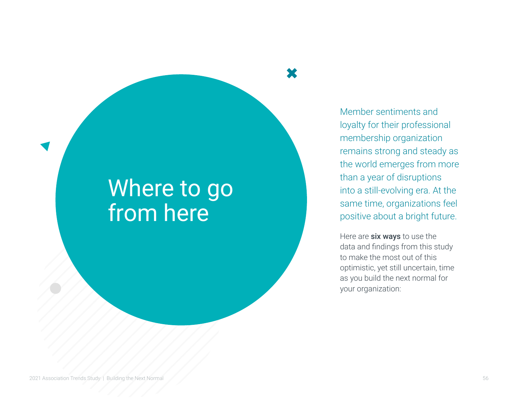## Where to go from here

Member sentiments and loyalty for their professional membership organization remains strong and steady as the world emerges from more than a year of disruptions into a still-evolving era. At the same time, organizations feel positive about a bright future.

Here are six ways to use the data and findings from this study to make the most out of this optimistic, yet still uncertain, time as you build the next normal for your organization: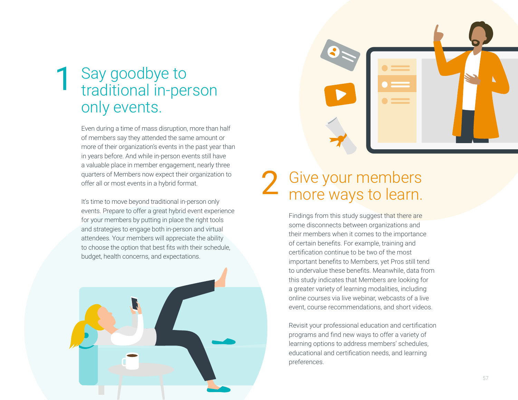### Say goodbye to traditional in-person only events. 1

Even during a time of mass disruption, more than half of members say they attended the same amount or more of their organization's events in the past year than in years before. And while in-person events still have a valuable place in member engagement, nearly three quarters of Members now expect their organization to offer all or most events in a hybrid format.

It's time to move beyond traditional in-person only events. Prepare to offer a great hybrid event experience for your members by putting in place the right tools and strategies to engage both in-person and virtual attendees. Your members will appreciate the ability to choose the option that best fits with their schedule, budget, health concerns, and expectations.

![](_page_56_Picture_3.jpeg)

![](_page_56_Picture_4.jpeg)

### Give your members more ways to learn. 2

Findings from this study suggest that there are some disconnects between organizations and their members when it comes to the importance of certain benefits. For example, training and certification continue to be two of the most important benefits to Members, yet Pros still tend to undervalue these benefits. Meanwhile, data from this study indicates that Members are looking for a greater variety of learning modalities, including online courses via live webinar, webcasts of a live event, course recommendations, and short videos.

Revisit your professional education and certification programs and find new ways to offer a variety of learning options to address members' schedules, educational and certification needs, and learning preferences.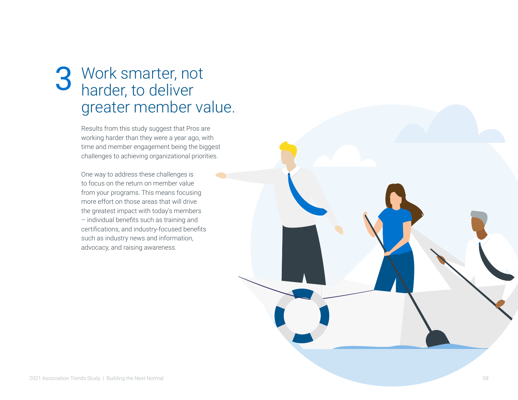## Work smarter, not 3 Work smarter, no<br>harder, to deliver greater member value.

Results from this study suggest that Pros are working harder than they were a year ago, with time and member engagement being the biggest challenges to achieving organizational priorities.

One way to address these challenges is to focus on the return on member value from your programs. This means focusing more effort on those areas that will drive the greatest impact with today's members – individual benefits such as training and certifications, and industry-focused benefits such as industry news and information, advocacy, and raising awareness.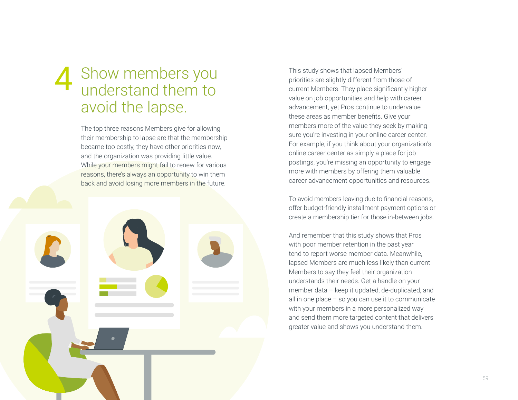## Show members you Show members you This study shows that lapsed Members'<br>
understand them to<br>
understand them to<br>
value on ioh opportunities and help with avoid the lapse.

The top three reasons Members give for allowing their membership to lapse are that the membership became too costly, they have other priorities now, and the organization was providing little value. While your members might fail to renew for various reasons, there's always an opportunity to win them back and avoid losing more members in the future.

![](_page_58_Picture_2.jpeg)

priorities are slightly different from those of current Members. They place significantly higher value on job opportunities and help with career advancement, yet Pros continue to undervalue these areas as member benefits. Give your members more of the value they seek by making sure you're investing in your online career center. For example, if you think about your organization's online career center as simply a place for job postings, you're missing an opportunity to engage more with members by offering them valuable career advancement opportunities and resources.

To avoid members leaving due to financial reasons, offer budget-friendly installment payment options or create a membership tier for those in-between jobs.

And remember that this study shows that Pros with poor member retention in the past year tend to report worse member data. Meanwhile, lapsed Members are much less likely than current Members to say they feel their organization understands their needs. Get a handle on your member data – keep it updated, de-duplicated, and all in one place – so you can use it to communicate with your members in a more personalized way and send them more targeted content that delivers greater value and shows you understand them.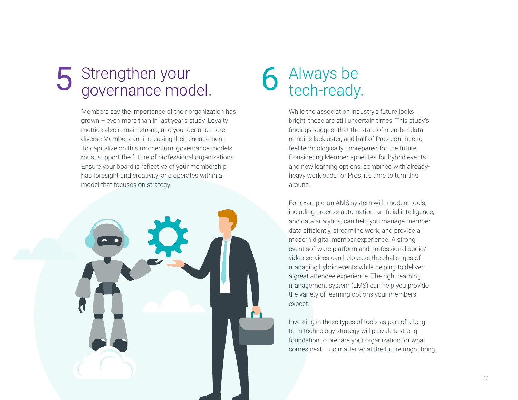## Strengthen your 5 Strengthen your<br>governance model. 6 Always be<br>tech-ready.

Members say the importance of their organization has grown – even more than in last year's study. Loyalty metrics also remain strong, and younger and more diverse Members are increasing their engagement. To capitalize on this momentum, governance models must support the future of professional organizations. Ensure your board is reflective of your membership, has foresight and creativity, and operates within a model that focuses on strategy.

![](_page_59_Picture_2.jpeg)

# 6 Always be<br>tech-ready.

While the association industry's future looks bright, these are still uncertain times. This study's findings suggest that the state of member data remains lackluster, and half of Pros continue to feel technologically unprepared for the future. Considering Member appetites for hybrid events and new learning options, combined with alreadyheavy workloads for Pros, it's time to turn this around.

For example, an AMS system with modern tools, including process automation, artificial intelligence, and data analytics, can help you manage member data efficiently, streamline work, and provide a modern digital member experience. A strong event software platform and professional audio/ video services can help ease the challenges of managing hybrid events while helping to deliver a great attendee experience. The right learning management system (LMS) can help you provide the variety of learning options your members expect.

Investing in these types of tools as part of a longterm technology strategy will provide a strong foundation to prepare your organization for what comes next – no matter what the future might bring.